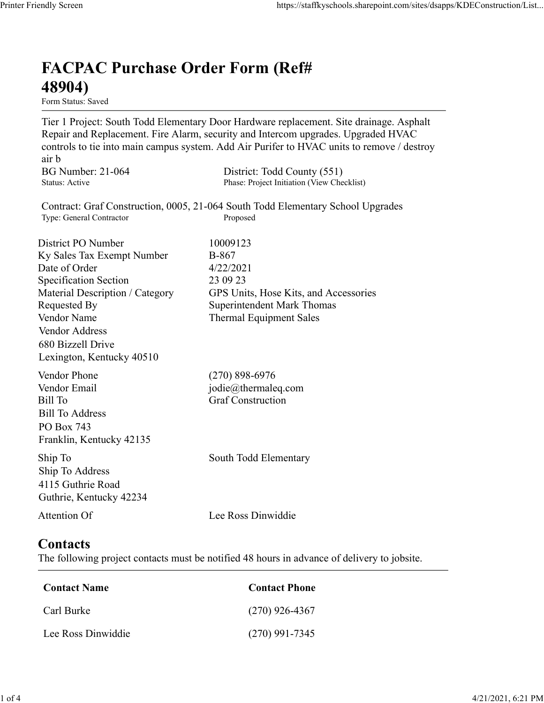## FACPAC Purchase Order Form (Ref# 48904)

Form Status: Saved

Tier 1 Project: South Todd Elementary Door Hardware replacement. Site drainage. Asphalt Repair and Replacement. Fire Alarm, security and Intercom upgrades. Upgraded HVAC controls to tie into main campus system. Add Air Purifer to HVAC units to remove / destroy air b https://staffkyschools.sharepoint.com/sites/dsapps/KDEConstructic<br> **FACPAC Purchase Order Form (Ref#**<br>
Form Status: Saved<br>
Tier 1 Project: South Todd Elementary Door Hardware replacement. Site drainage. Asphalt<br>
Repair and https://staffkyschools.sharepoint.com/sites/dsapps/KDEConstructic<br> **FACPAC Purchase Order Form (Ref#**<br> **489041**<br>
Form Status: Saved<br>
Form Status: Saved<br>
Tier 1 Project: South Todd Elementary Door Hardware replacement. Site https://staffkyschools.sharepoint.com/sites/dsarps/KDFConstructic<br> **FACPAC Purchase Order Form (Ref#**<br>
Form Status: Saved<br>
Form Status: Saved<br>
Ter 1 Project: South Todd Elementary Door Hardware replacement. Site drainage. **FACPAC Purchase Order Form (Ref#** $48904$ **)**<br>
Form Status: Saved<br>
Tier 1 Project: South Todd Elementary Door Hardware replacement. Site drainage. Asphalt<br>
Repair and Replacement. Fire Alarm, security and Intercom upgrades. **FACPAC Purchase Order Form (Ref#**<br> **48904)**<br> **Eom Stans:** Saved<br> **Eom Stans:** Saved<br> **Repair and Replacement. Fire Alarm, security and Intercom upgrades. Upgraded HVAC<br>
<b>Controls to tie into main campus system.** Add Air

Contract: Graf Construction, 0005, 21-064 South Todd Elementary School Upgrades

**FACPAC Purchase Order Form (Ref#** $\bf{48904}$ <br>
Form Status: Saved<br>
Tier 1 Project: South Todd Elementary Door Hardware replacement. Site drainage. Asphalt<br>
Tier 1 Project: South Todd Elementary Door Hardware replacement. **FACPAC Purchase Order Form (Ref#**<br> **48904)**<br>
Form Status: Saved<br>
Tier 1 Project: South Todd Elementary Door Hardware replacement. Site drainage. Asphalt<br>
Repair and Replacement. Fire Alarm, security and Intercom upgrades. **FACPAC Purchase Order Form (Ref#**<br> **48904)**<br>
Form States Saved<br>
Term Paroject: South Todd Elementary Door Hardware replacement. Site drainage. Asphalt<br>
Teapair and Replacement. Fire Alarm, security and Intercom upgrades. **48904)**<br>
Form Status: Saved<br>
Tier 1 Project: South Todd Elementary Door Hardware replacement. Site drainage. Asphalt<br>
Repair and Replacement. Fire Alarm, security and Intercom upgrades. Upgraded HVAC<br>
econtrols to tie in **From States:** Swed<br>
From States: Swed<br>
Tree T Project: South Todd Elementary Door Hardware replacement. Site drainage. Asphalt<br>
Repair and Replacement. Fire Alarm, security and Intercom upgrades. Upgraded HVAC<br>
entrois to Vendor Address 680 Bizzell Drive Lexington, Kentucky 40510 controls to the into main campus system. Add Air Puriter to HVAC units to remove / destroy<br>
air b<br>
air b<br>
BG Number: 21-064 District: Todd County (551)<br>
Status: Active<br>
Contract: Graf Construction, 0005, 21-064 South Todd ar b<br>
BG Number: 21-064<br>
BG Number: 21-064<br>
Shaus: Active Phase: Project Initiation (View Checklist)<br>
Shaus: Active Phase: Project Initiation (View Checklist)<br>
The General Connector<br>
District PO Number<br>
District PO Number<br> Bill Number: 21-064<br>
Bill Number<br>
Bill Status: Active<br>
Thus: Project Initiation (View Checkliss)<br>
Contract: Graf Construction, 0005, 21-064 South Todd Elementary School Upgrades<br>
Type: General Contractor<br>
District PO Numbe Bill To Address PO Box 743 Franklin, Kentucky 42135 District PO Number<br>
IS Ky Sales Tax Exempt Number<br>
10009123<br>
Date of Order<br>
Specification Section<br>
4/22/2021<br>
Specification Section<br>
Material Description / Category<br>
CPS Units, Hose Kits, and Accessories<br>
Nendor Addres<br>
Ve Ship To Address Material Description / Category<br>
Requested By<br>
Requested By<br>
Nendor Name<br>
Vendor Address<br>
Vendor Address<br>
Vendor Address<br>
Of Bizzell Drive<br>
Lexington, Kentucky 40510<br>
Cendor Phone<br>
(270) 898-6976<br>
Lexington, Kentucky 40510 Example of Phone<br>
Condor Phone<br>
Contact Final<br>
iil To<br>
Endor Email<br>
iil To<br>
Contact Sill To<br>
Contact Construction<br>
In To<br>
Contact Phone<br>
Contact S<br>
Attention Of<br>
Contact S<br>
Attention Of<br>
Contact S<br>
Action Contact Phone<br>
Co Formall<br>
Fill To<br>
Fill Burke (Strait Construction<br>
Sull To Address<br>
To Box 743<br>
II, 5 Carl Burke Rentucky 42135<br>
In To<br>
The To Address<br>
South Todd Elementary<br>
South Todd Elementary<br>
South Todd Elementary<br>
South Todd Elemen EXECTION THE SIMUS CORD AND THE CONDUCT CONDUCT CONDUCT CONDUCT THAN IN THE SOUND THAN IN THE ROOM USE CONDUCT CONDUCT CONDUCT CONDUCT CONDUCT CONDUCT CONDUCT CONDUCT CONDUCT CONDUCT CONDUCT CONDUCT CONDUCT CONDUCT CONDUCT

4115 Guthrie Road Guthrie, Kentucky 42234

## **Contacts**

The following project contacts must be notified 48 hours in advance of delivery to jobsite.

| Contact Name       | <b>Contact Phone</b> |
|--------------------|----------------------|
| Carl Burke         | $(270)$ 926-4367     |
| Lee Ross Dinwiddie | $(270)$ 991-7345     |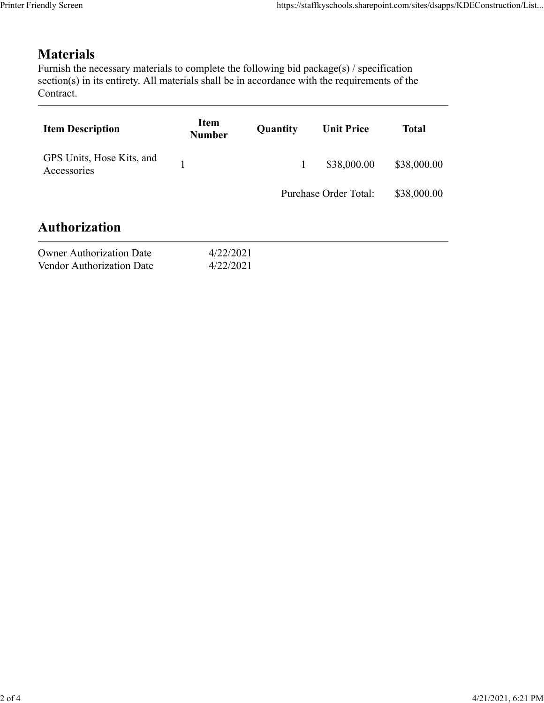## **Materials**

| endly Screen                                                                                                                                                                                                               |                              |              | https://staffkyschools.sharepoint.com/sites/dsapps/KDEConstruction/List |              |
|----------------------------------------------------------------------------------------------------------------------------------------------------------------------------------------------------------------------------|------------------------------|--------------|-------------------------------------------------------------------------|--------------|
| <b>Materials</b><br>Furnish the necessary materials to complete the following bid package(s) / specification<br>section(s) in its entirety. All materials shall be in accordance with the requirements of the<br>Contract. |                              |              |                                                                         |              |
| <b>Item Description</b>                                                                                                                                                                                                    | <b>Item</b><br><b>Number</b> | Quantity     | <b>Unit Price</b>                                                       | <b>Total</b> |
| GPS Units, Hose Kits, and<br>Accessories                                                                                                                                                                                   | $\mathbf{1}$                 | $\mathbf{1}$ | \$38,000.00                                                             | \$38,000.00  |
|                                                                                                                                                                                                                            |                              |              | Purchase Order Total:                                                   | \$38,000.00  |
| <b>Authorization</b>                                                                                                                                                                                                       |                              |              |                                                                         |              |
| <b>Owner Authorization Date</b><br>Vendor Authorization Date                                                                                                                                                               | 4/22/2021<br>4/22/2021       |              |                                                                         |              |
|                                                                                                                                                                                                                            |                              |              |                                                                         |              |

| <b>Owner Authorization Date</b> | 4/22/2021 |
|---------------------------------|-----------|
| Vendor Authorization Date       | 4/22/2021 |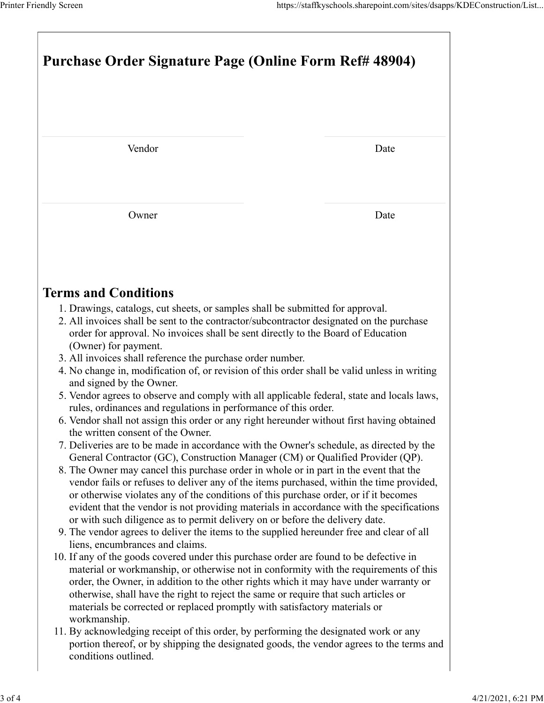| Printer Friendly Screen                                                                                                                                                           | https://staffkyschools.sharepoint.com/sites/dsapps/KDEConstruction/List |
|-----------------------------------------------------------------------------------------------------------------------------------------------------------------------------------|-------------------------------------------------------------------------|
| Purchase Order Signature Page (Online Form Ref# 48904)                                                                                                                            |                                                                         |
|                                                                                                                                                                                   |                                                                         |
|                                                                                                                                                                                   |                                                                         |
| Vendor                                                                                                                                                                            | Date                                                                    |
|                                                                                                                                                                                   |                                                                         |
| Owner                                                                                                                                                                             | Date                                                                    |
|                                                                                                                                                                                   |                                                                         |
| <b>Terms and Conditions</b>                                                                                                                                                       |                                                                         |
| 1. Drawings, catalogs, cut sheets, or samples shall be submitted for approval.                                                                                                    |                                                                         |
| 2. All invoices shall be sent to the contractor/subcontractor designated on the purchase<br>order for approval. No invoices shall be sent directly to the Board of Education      |                                                                         |
| (Owner) for payment.<br>3. All invoices shall reference the purchase order number.                                                                                                |                                                                         |
| 4. No change in, modification of, or revision of this order shall be valid unless in writing<br>and signed by the Owner.                                                          |                                                                         |
| 5. Vendor agrees to observe and comply with all applicable federal, state and locals laws,<br>rules, ordinances and regulations in performance of this order.                     |                                                                         |
| 6. Vendor shall not assign this order or any right hereunder without first having obtained                                                                                        |                                                                         |
| the written consent of the Owner.<br>7. Deliveries are to be made in accordance with the Owner's schedule, as directed by the                                                     |                                                                         |
| General Contractor (GC), Construction Manager (CM) or Qualified Provider (QP).                                                                                                    |                                                                         |
| 8. The Owner may cancel this purchase order in whole or in part in the event that the<br>vendor fails or refuses to deliver any of the items purchased, within the time provided, |                                                                         |
| or otherwise violates any of the conditions of this purchase order, or if it becomes                                                                                              |                                                                         |
| evident that the vendor is not providing materials in accordance with the specifications<br>or with such diligence as to permit delivery on or before the delivery date.          |                                                                         |
| 9. The vendor agrees to deliver the items to the supplied hereunder free and clear of all<br>liens, encumbrances and claims.                                                      |                                                                         |
| 10. If any of the goods covered under this purchase order are found to be defective in                                                                                            |                                                                         |
| material or workmanship, or otherwise not in conformity with the requirements of this<br>order, the Owner, in addition to the other rights which it may have under warranty or    |                                                                         |
| otherwise, shall have the right to reject the same or require that such articles or<br>materials be corrected or replaced promptly with satisfactory materials or                 |                                                                         |
| workmanship.                                                                                                                                                                      |                                                                         |
| 11. By acknowledging receipt of this order, by performing the designated work or any<br>portion thereof, or by shipping the designated goods, the vendor agrees to the terms and  |                                                                         |
| conditions outlined.                                                                                                                                                              |                                                                         |
|                                                                                                                                                                                   |                                                                         |